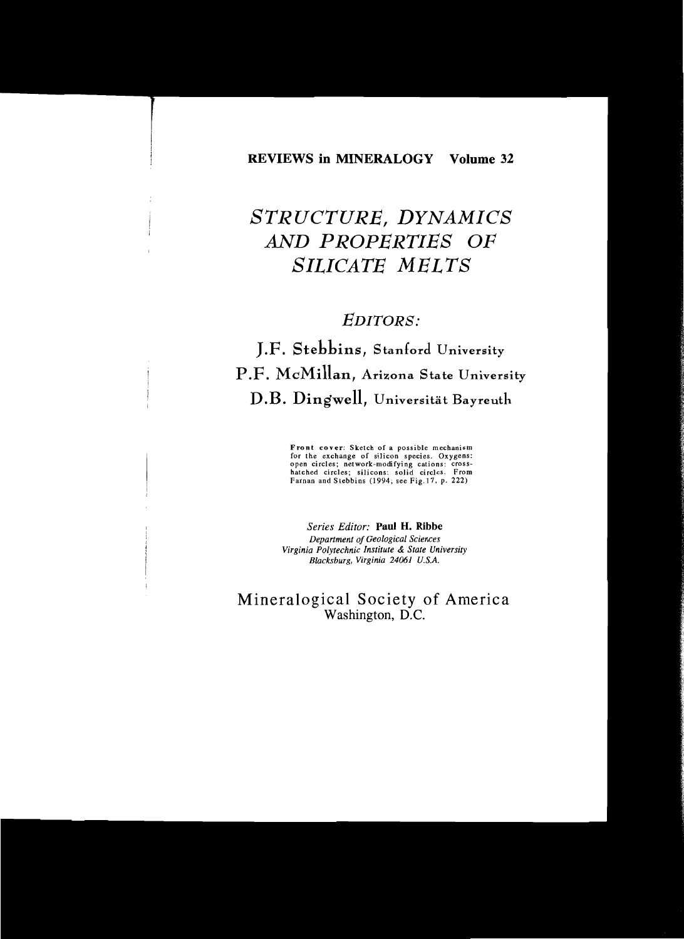#### REVIEWS in MINERALOGY Volume 32

# *STRUCTURE, DYNAMICS* AND P *ROPERTIES OF SILICATE MELTS*

# *EDITORS:*

# J.F. Stebbins, Stanford University P.F. McMillan, Arizona State University D.B. DingweIl, Universität Bayreuth

Front cover: Sketch of a possible mechanism for the exchange of silicon species. Oxygens: open circles; network-modifying cations: crosshatched circles; silicons: solid circles. From Farnan and Stebbins (1994; see Fig.17, p. 222)

*Series Editor:* Paul H. Ribbe *Department 01 Geological Seiences Virginia Polytechnic Institute* & *State University Blacksburg, Virginia* 24061 *U.S.A.*

# Mineralogical Society of America Washington, D.C.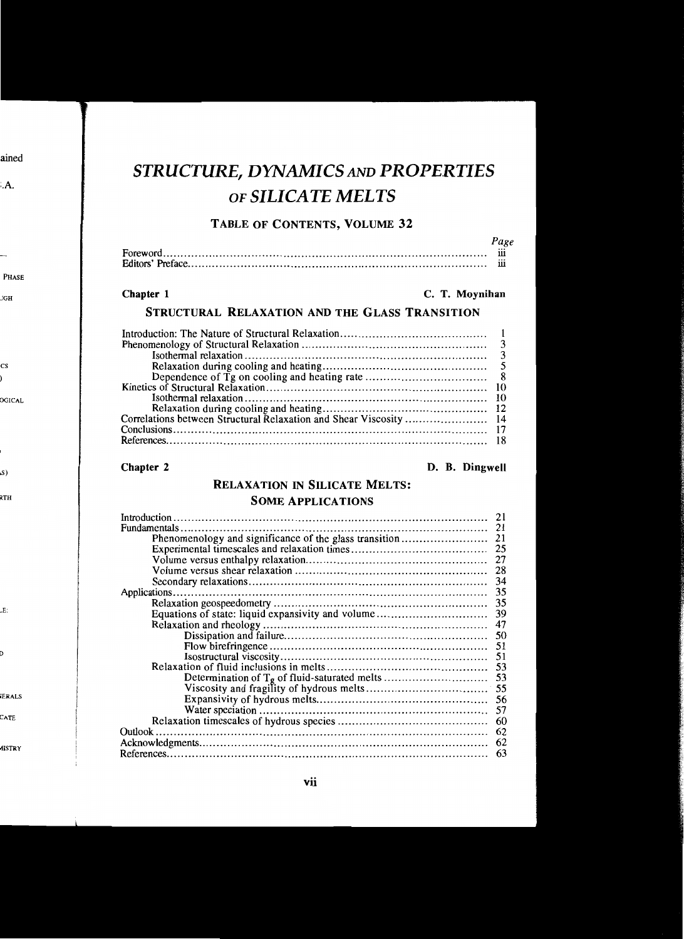# *STRUCTURE, DYNAMICSAND PROPERTIES* OF *SILICATE MELTS*

#### TABLE OF CONTENTS, VOLUME 32

| $\cdots$ |
|----------|
| $\cdots$ |
|          |
|          |
|          |
|          |

#### Chapter 1 Chapter 1 C. T. Moynihan

*Page*

# STRUCTURAL RELAXATION AND THE GLASS TRANSITION

| Correlations between Structural Relaxation and Shear Viscosity  14 |  |
|--------------------------------------------------------------------|--|
|                                                                    |  |
|                                                                    |  |
|                                                                    |  |

#### Chapter 2 D. B. Dingwell

## RELAXATION IN SILICATE MELTS:

### SOME ApPLICATIONS

| Introduction.                                          | 21 |
|--------------------------------------------------------|----|
|                                                        | 21 |
| Phenomenology and significance of the glass transition | 21 |
|                                                        | 25 |
|                                                        | 27 |
|                                                        | 28 |
|                                                        | 34 |
|                                                        | 35 |
|                                                        |    |
|                                                        |    |
|                                                        | 47 |
|                                                        | 50 |
|                                                        | 51 |
|                                                        | 51 |
|                                                        | 53 |
|                                                        |    |
|                                                        | 55 |
|                                                        | 56 |
|                                                        | 57 |
|                                                        | 60 |
|                                                        | 62 |
|                                                        | 62 |
|                                                        | 63 |
|                                                        |    |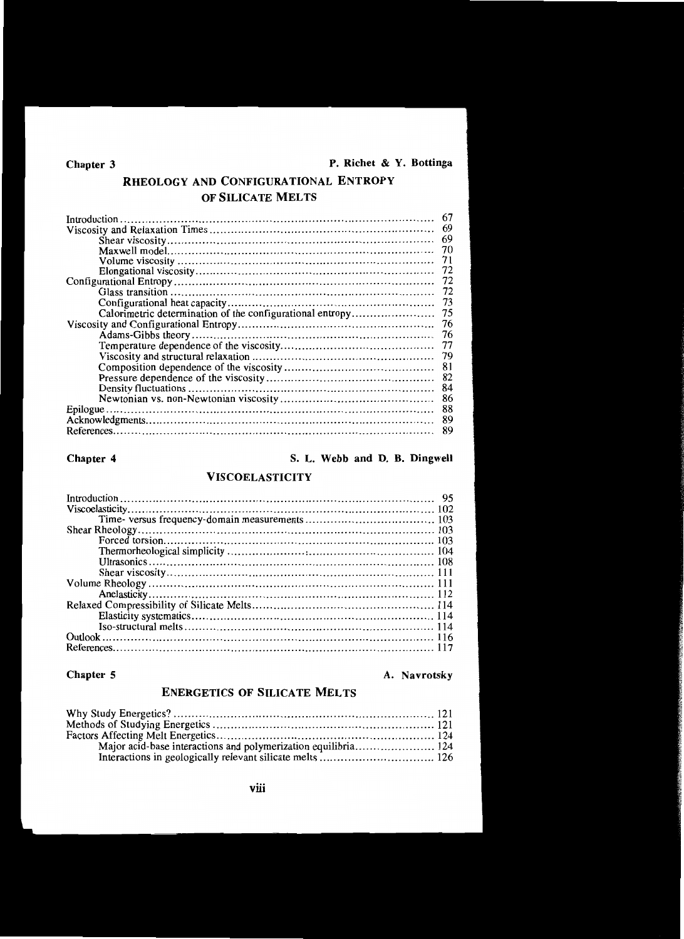# RHEOLOGY AND CONFIGURATIONAL ENTROPY OF SILICATE MELTS

| Introduction.                                             | 67  |
|-----------------------------------------------------------|-----|
|                                                           | 69  |
|                                                           | 69  |
|                                                           |     |
|                                                           | 71  |
|                                                           | 72  |
|                                                           |     |
|                                                           | -72 |
|                                                           | -73 |
| Calorimetric determination of the configurational entropy | 75  |
|                                                           | -76 |
|                                                           |     |
|                                                           | 77  |
|                                                           |     |
|                                                           | 81  |
|                                                           | 82  |
|                                                           | 84  |
|                                                           | 86  |
|                                                           | 88  |
|                                                           | 89  |
|                                                           | 89  |
|                                                           |     |

# Chapter 4 S. L. Webb and D. B. Dingwell

### VISCOELASTICITY

# Chapter 5

### A. Navrotsky

### ENERGETICS OF SILICATE MELTS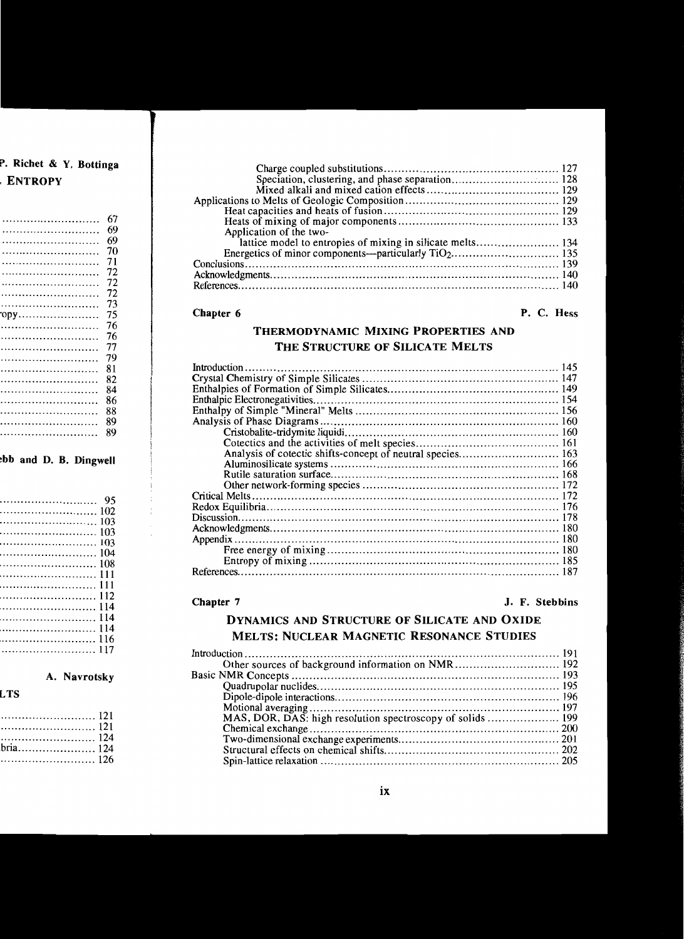| Application of the two-                                    |  |
|------------------------------------------------------------|--|
| lattice model to entropies of mixing in silicate melts 134 |  |
|                                                            |  |
|                                                            |  |
|                                                            |  |
|                                                            |  |
|                                                            |  |

#### Chapter 6

#### P. C. Hess

# THERMODYNAMIC MIXING PROPERTIES AND THE STRUCTURE OF SILICATE MELTS

#### Chapter 7 J. F. Stebbins

# DYNAMICS AND STRUCTURE OF SILICATE AND OXIDE MELTS: NUCLEAR MAGNETIC RESONANCE STUDIES

| Other sources of background information on NMR 192 |  |
|----------------------------------------------------|--|
|                                                    |  |
|                                                    |  |
|                                                    |  |
|                                                    |  |
|                                                    |  |
|                                                    |  |
|                                                    |  |
|                                                    |  |
|                                                    |  |
|                                                    |  |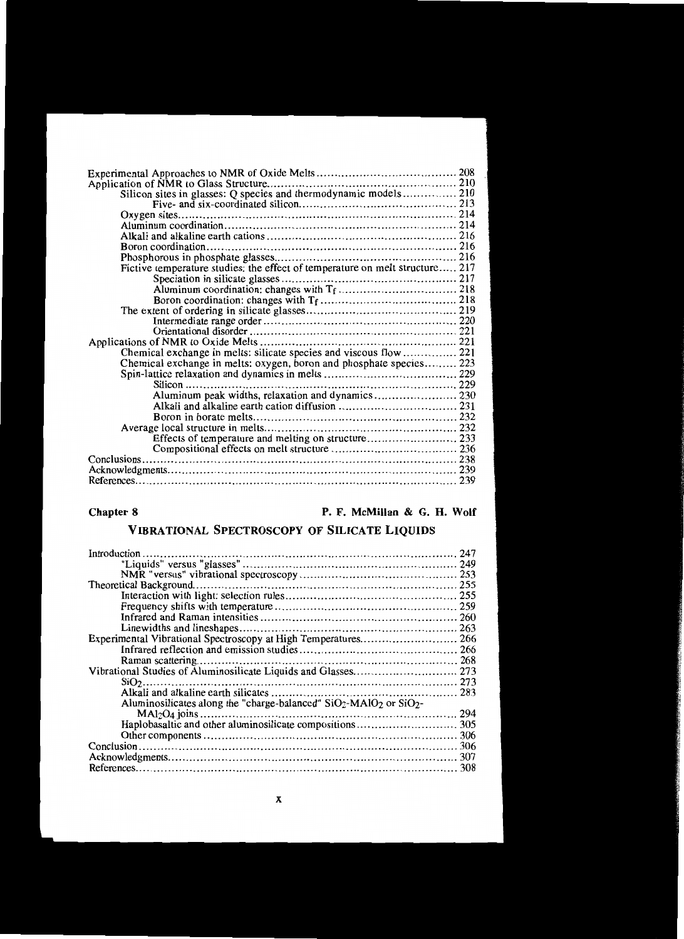| Silicon sites in glasses: Q species and thermodynamic models 210             |  |
|------------------------------------------------------------------------------|--|
|                                                                              |  |
|                                                                              |  |
|                                                                              |  |
|                                                                              |  |
|                                                                              |  |
|                                                                              |  |
| Fictive temperature studies: the effect of temperature on melt structure 217 |  |
|                                                                              |  |
|                                                                              |  |
|                                                                              |  |
|                                                                              |  |
|                                                                              |  |
|                                                                              |  |
|                                                                              |  |
|                                                                              |  |
| Chemical exchange in melts: oxygen, boron and phosphate species 223          |  |
|                                                                              |  |
| $Silicon$                                                                    |  |
| Aluminum peak widths, relaxation and dynamics 230                            |  |
|                                                                              |  |
|                                                                              |  |
|                                                                              |  |
|                                                                              |  |
|                                                                              |  |
|                                                                              |  |
|                                                                              |  |
|                                                                              |  |
|                                                                              |  |

## Chapter 8 **P. F. McMillan & G. H. Wolf**

# VIBRA TIONAL SPECTROSCOPY OF SILICATE LIQUIDS

| Introduction                                                                       | 247 |
|------------------------------------------------------------------------------------|-----|
|                                                                                    |     |
|                                                                                    |     |
|                                                                                    |     |
|                                                                                    |     |
|                                                                                    |     |
|                                                                                    |     |
|                                                                                    |     |
|                                                                                    |     |
|                                                                                    |     |
|                                                                                    | 268 |
|                                                                                    |     |
|                                                                                    |     |
|                                                                                    |     |
| Aluminosilicates along the "charge-balanced" $SiO2$ -MAlO <sub>2</sub> or $SiO2$ - |     |
|                                                                                    | 294 |
|                                                                                    |     |
|                                                                                    |     |
|                                                                                    |     |
|                                                                                    | 307 |
|                                                                                    |     |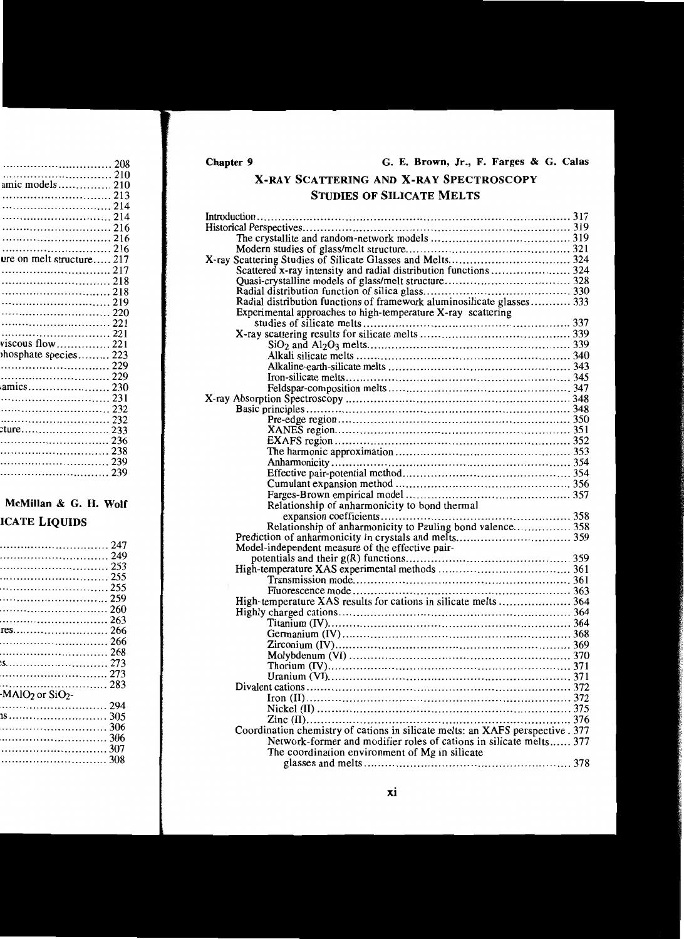# **X·RAY SCATTERING AND X-RAY SPECTROSCOPY STUDIES OF SILICATE MELTS**

| Scattered x-ray intensity and radial distribution functions  324               |  |
|--------------------------------------------------------------------------------|--|
|                                                                                |  |
|                                                                                |  |
|                                                                                |  |
| Experimental approaches to high-temperature X-ray scattering                   |  |
|                                                                                |  |
|                                                                                |  |
|                                                                                |  |
|                                                                                |  |
|                                                                                |  |
|                                                                                |  |
|                                                                                |  |
|                                                                                |  |
|                                                                                |  |
|                                                                                |  |
|                                                                                |  |
|                                                                                |  |
|                                                                                |  |
|                                                                                |  |
|                                                                                |  |
|                                                                                |  |
|                                                                                |  |
| Relationship of anharmonicity to bond thermal                                  |  |
|                                                                                |  |
|                                                                                |  |
|                                                                                |  |
|                                                                                |  |
| Model-independent measure of the effective pair-                               |  |
|                                                                                |  |
|                                                                                |  |
|                                                                                |  |
|                                                                                |  |
|                                                                                |  |
|                                                                                |  |
|                                                                                |  |
|                                                                                |  |
|                                                                                |  |
|                                                                                |  |
|                                                                                |  |
|                                                                                |  |
|                                                                                |  |
|                                                                                |  |
|                                                                                |  |
|                                                                                |  |
| Coordination chemistry of cations in silicate melts: an XAFS perspective . 377 |  |
| Network-former and modifier roles of cations in silicate melts 377             |  |
| The coordination environment of Mg in silicate                                 |  |
|                                                                                |  |
|                                                                                |  |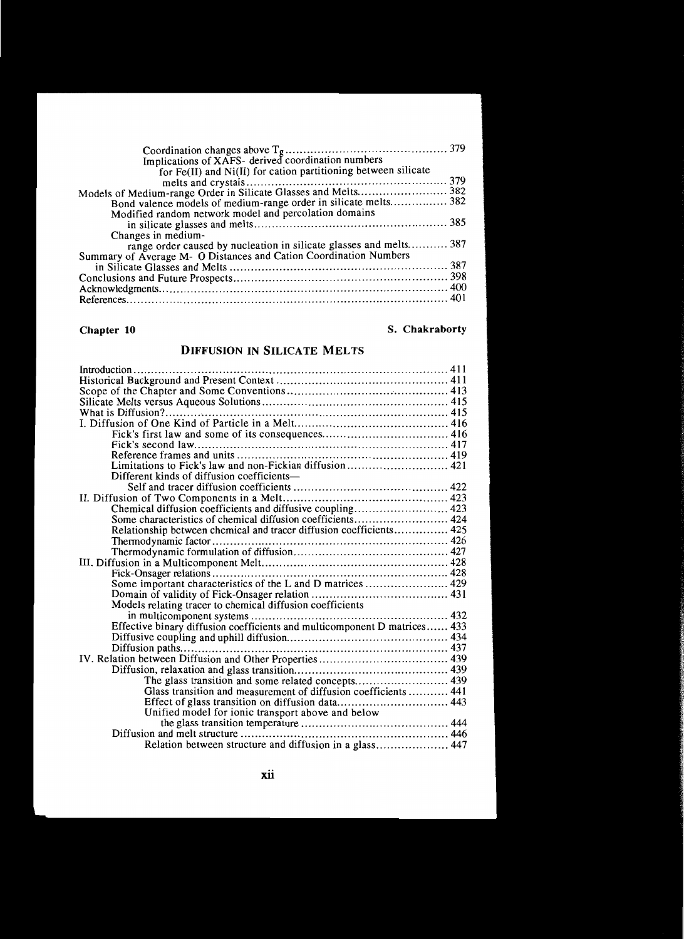| Implications of XAFS- derived coordination numbers                 |  |
|--------------------------------------------------------------------|--|
| for Fe(II) and Ni(II) for cation partitioning between silicate     |  |
|                                                                    |  |
|                                                                    |  |
| Bond valence models of medium-range order in silicate melts 382    |  |
| Modified random network model and percolation domains              |  |
|                                                                    |  |
| Changes in medium-                                                 |  |
| range order caused by nucleation in silicate glasses and melts 387 |  |
| Summary of Average M- O Distances and Cation Coordination Numbers  |  |
|                                                                    |  |
|                                                                    |  |
|                                                                    |  |
|                                                                    |  |
|                                                                    |  |

# Chapter **10**

### S. Chakraborty

# DIFFUSION IN SILICATE MELTS

| Limitations to Fick's law and non-Fickian diffusion 421                   |  |
|---------------------------------------------------------------------------|--|
| Different kinds of diffusion coefficients—                                |  |
|                                                                           |  |
|                                                                           |  |
| Chemical diffusion coefficients and diffusive coupling 423                |  |
| Some characteristics of chemical diffusion coefficients 424               |  |
| Relationship between chemical and tracer diffusion coefficients 425       |  |
|                                                                           |  |
|                                                                           |  |
|                                                                           |  |
|                                                                           |  |
|                                                                           |  |
|                                                                           |  |
| Models relating tracer to chemical diffusion coefficients                 |  |
|                                                                           |  |
| Effective binary diffusion coefficients and multicomponent D matrices 433 |  |
|                                                                           |  |
| Diffusion paths                                                           |  |
|                                                                           |  |
|                                                                           |  |
| The glass transition and some related concepts 439                        |  |
| Glass transition and measurement of diffusion coefficients  441           |  |
|                                                                           |  |
| Unified model for ionic transport above and below                         |  |
|                                                                           |  |
|                                                                           |  |
| Relation between structure and diffusion in a glass 447                   |  |
|                                                                           |  |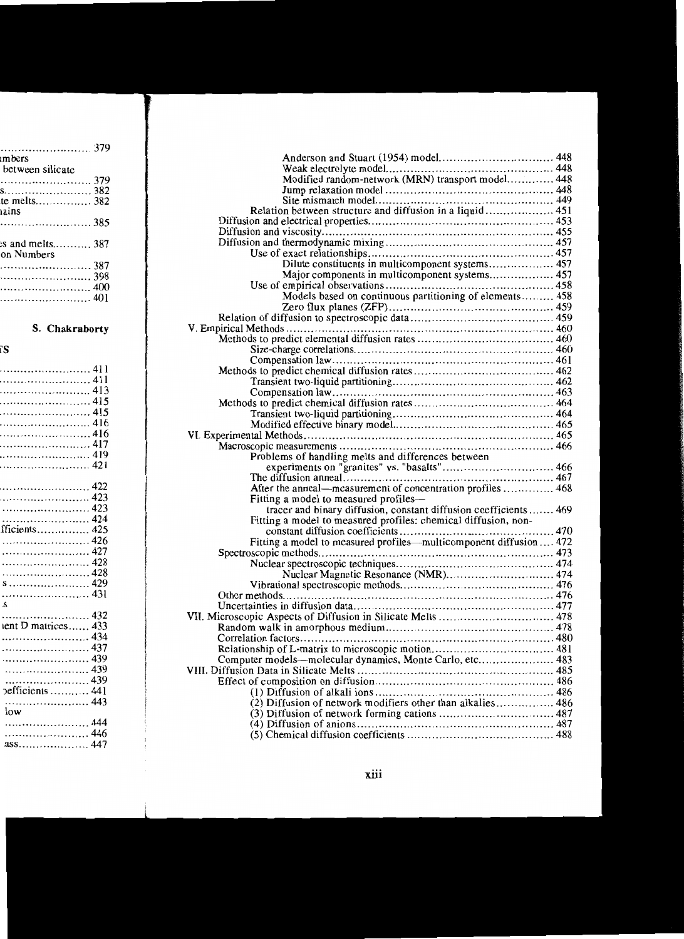| Anderson and Stuart (1954) model 448                               |  |
|--------------------------------------------------------------------|--|
|                                                                    |  |
|                                                                    |  |
|                                                                    |  |
|                                                                    |  |
| Relation between structure and diffusion in a liquid 451           |  |
|                                                                    |  |
|                                                                    |  |
|                                                                    |  |
|                                                                    |  |
| Dilute constituents in multicomponent systems 457                  |  |
| Major components in multicomponent systems 457                     |  |
|                                                                    |  |
| Models based on continuous partitioning of elements 458            |  |
|                                                                    |  |
|                                                                    |  |
|                                                                    |  |
|                                                                    |  |
|                                                                    |  |
|                                                                    |  |
|                                                                    |  |
|                                                                    |  |
|                                                                    |  |
|                                                                    |  |
|                                                                    |  |
|                                                                    |  |
|                                                                    |  |
|                                                                    |  |
|                                                                    |  |
|                                                                    |  |
| Problems of handling melts and differences between                 |  |
|                                                                    |  |
|                                                                    |  |
| After the anneal—measurement of concentration profiles  468        |  |
| Fitting a model to measured profiles-                              |  |
| tracer and binary diffusion, constant diffusion coefficients  469  |  |
| Fitting a model to measured profiles: chemical diffusion, non-     |  |
|                                                                    |  |
| Fitting a model to measured profiles—multicomponent diffusion  472 |  |
|                                                                    |  |
|                                                                    |  |
|                                                                    |  |
|                                                                    |  |
|                                                                    |  |
|                                                                    |  |
|                                                                    |  |
| VII. Microscopic Aspects of Diffusion in Silicate Melts  478       |  |
|                                                                    |  |
|                                                                    |  |
|                                                                    |  |
| Computer models—molecular dynamics, Monte Carlo, etc 483           |  |
|                                                                    |  |
|                                                                    |  |
|                                                                    |  |
| (2) Diffusion of network modifiers other than alkalies 486         |  |
|                                                                    |  |
|                                                                    |  |
|                                                                    |  |
|                                                                    |  |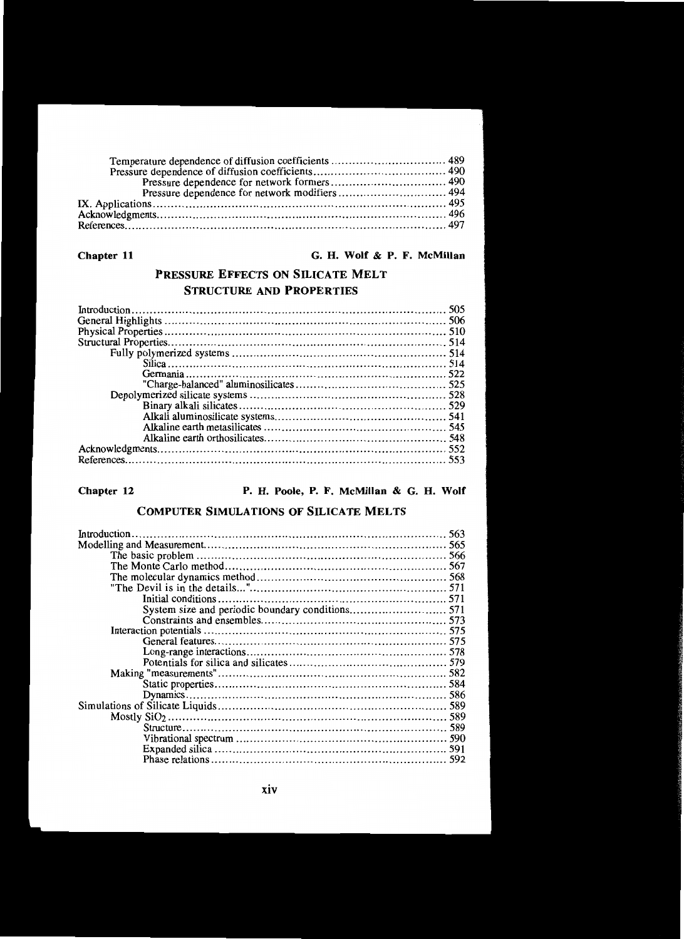#### Chapter 11

#### G. H. Wolf & P. F. McMillan

# PRESSURE EFFECTS ON SILICATE MELT STRUCTURE AND PROPERTIES

Chapter 12 **P. H. Poole, P. F. McMillan & G. H. Wolf** 

## COMPUTER SIMULATIONS OF SILICATE MELTS